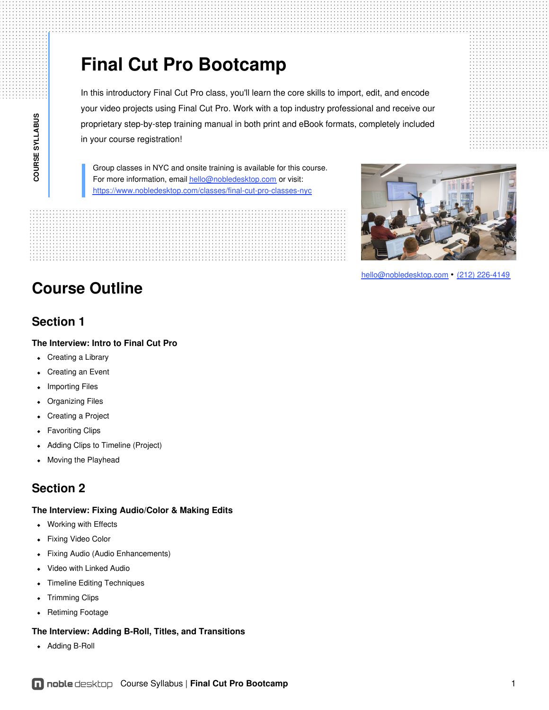# **Final Cut Pro Bootcamp**

In this introductory Final Cut Pro class, you'll learn the core skills to import, edit, and encode your video projects using Final Cut Pro. Work with a top industry professional and receive our proprietary step-by-step training manual in both print and eBook formats, completely included in your course registration!

Group classes in NYC and onsite training is available for this course. For more information, email [hello@nobledesktop.com](mailto:hello@nobledesktop.com) or visit: <https://www.nobledesktop.com/classes/final-cut-pro-classes-nyc>

## **Course Outline**

### **Section 1**

**COUR**

**SE S**

**YLLABUS**

### **The Interview: Intro to Final Cut Pro**

- Creating a Library
- Creating an Event  $\bullet$
- Importing Files
- Organizing Files  $\bullet$
- Creating a Project  $\bullet$
- Favoriting Clips
- Adding Clips to Timeline (Project)
- Moving the Playhead  $\bullet$

### **Section 2**

### **The Interview: Fixing Audio/Color & Making Edits**

- Working with Effects
- Fixing Video Color  $\bullet$
- Fixing Audio (Audio Enhancements)  $\bullet$
- Video with Linked Audio
- Timeline Editing Techniques  $\bullet$
- Trimming Clips
- Retiming Footage  $\bullet$

### **The Interview: Adding B-Roll, Titles, and Transitions**

Adding B-Roll



[hello@nobledesktop.com](mailto:hello@nobledesktop.com) • (212) [226-4149](tel:+1-212-226-4149)